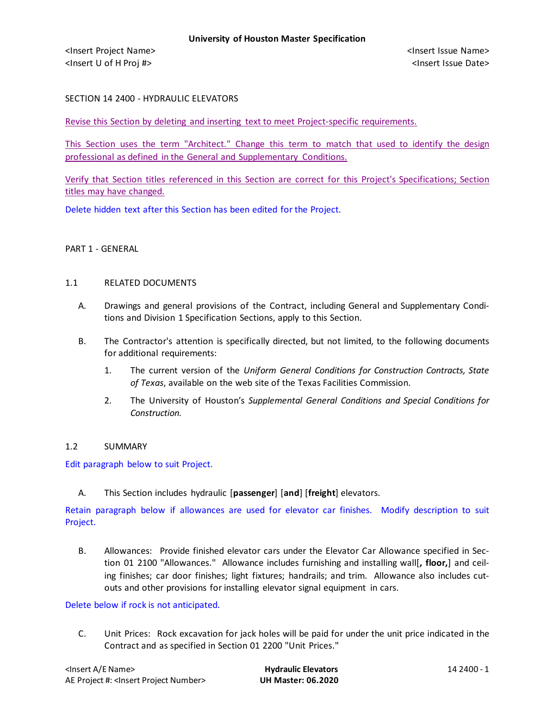SECTION 14 2400 - HYDRAULIC ELEVATORS

Revise this Section by deleting and inserting text to meet Project-specific requirements.

This Section uses the term "Architect." Change this term to match that used to identify the design professional as defined in the General and Supplementary Conditions.

Verify that Section titles referenced in this Section are correct for this Project's Specifications; Section titles may have changed.

Delete hidden text after this Section has been edited for the Project.

#### PART 1 - GENERAL

#### 1.1 RELATED DOCUMENTS

- A. Drawings and general provisions of the Contract, including General and Supplementary Conditions and Division 1 Specification Sections, apply to this Section.
- B. The Contractor's attention is specifically directed, but not limited, to the following documents for additional requirements:
	- 1. The current version of the *Uniform General Conditions for Construction Contracts, State of Texas*, available on the web site of the Texas Facilities Commission.
	- 2. The University of Houston's *Supplemental General Conditions and Special Conditions for Construction.*

#### 1.2 SUMMARY

Edit paragraph below to suit Project.

A. This Section includes hydraulic [**passenger**] [**and**] [**freight**] elevators.

Retain paragraph below if allowances are used for elevator car finishes. Modify description to suit Project.

B. Allowances: Provide finished elevator cars under the Elevator Car Allowance specified in Section 01 2100 "Allowances." Allowance includes furnishing and installing wall[**, floor,**] and ceiling finishes; car door finishes; light fixtures; handrails; and trim. Allowance also includes cutouts and other provisions for installing elevator signal equipment in cars.

#### Delete below if rock is not anticipated.

C. Unit Prices: Rock excavation for jack holes will be paid for under the unit price indicated in the Contract and as specified in Section 01 2200 "Unit Prices."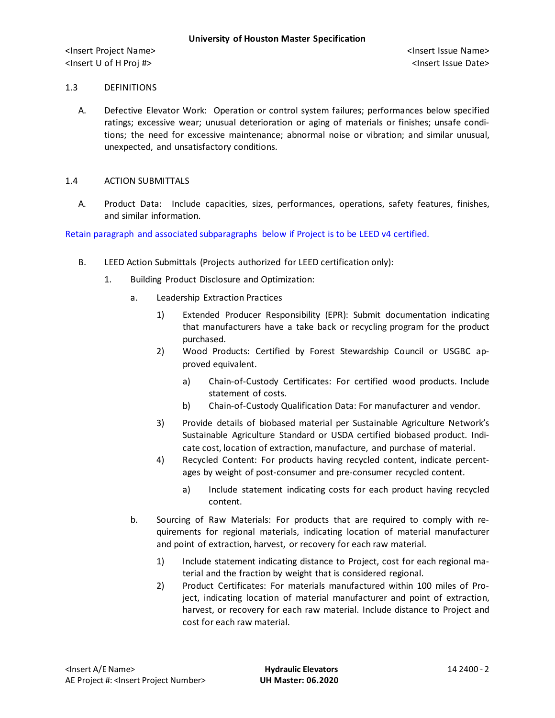#### 1.3 DEFINITIONS

A. Defective Elevator Work: Operation or control system failures; performances below specified ratings; excessive wear; unusual deterioration or aging of materials or finishes; unsafe conditions; the need for excessive maintenance; abnormal noise or vibration; and similar unusual, unexpected, and unsatisfactory conditions.

#### 1.4 ACTION SUBMITTALS

A. Product Data: Include capacities, sizes, performances, operations, safety features, finishes, and similar information.

Retain paragraph and associated subparagraphs below if Project is to be LEED v4 certified.

- B. LEED Action Submittals (Projects authorized for LEED certification only):
	- 1. Building Product Disclosure and Optimization:
		- a. Leadership Extraction Practices
			- 1) Extended Producer Responsibility (EPR): Submit documentation indicating that manufacturers have a take back or recycling program for the product purchased.
			- 2) Wood Products: Certified by Forest Stewardship Council or USGBC approved equivalent.
				- a) [Chain-of-Custody Certificates:](http://www.arcomnet.com/sustainable_design.aspx?topic=146) For certified wood products. Include statement of costs.
				- b) [Chain-of-Custody Qualification Data:](http://www.arcomnet.com/sustainable_design.aspx?topic=148) For manufacturer and vendor.
			- 3) Provide details of biobased material per Sustainable Agriculture Network's Sustainable Agriculture Standard or USDA certified biobased product. Indicate cost, location of extraction, manufacture, and purchase of material.
			- 4) Recycled Content: For products having recycled content, indicate percentages by weight of post-consumer and pre-consumer recycled content.
				- a) Include statement indicating costs for each product having recycled content.
		- b. Sourcing of Raw Materials: For products that are required to comply with requirements for regional materials, indicating location of material manufacturer and point of extraction, harvest, or recovery for each raw material.
			- 1) Include statement indicating distance to Project, cost for each regional material and the fraction by weight that is considered regional.
			- 2) Product Certificates: For materials manufactured within 100 miles of Project, indicating location of material manufacturer and point of extraction, harvest, or recovery for each raw material. Include distance to Project and cost for each raw material.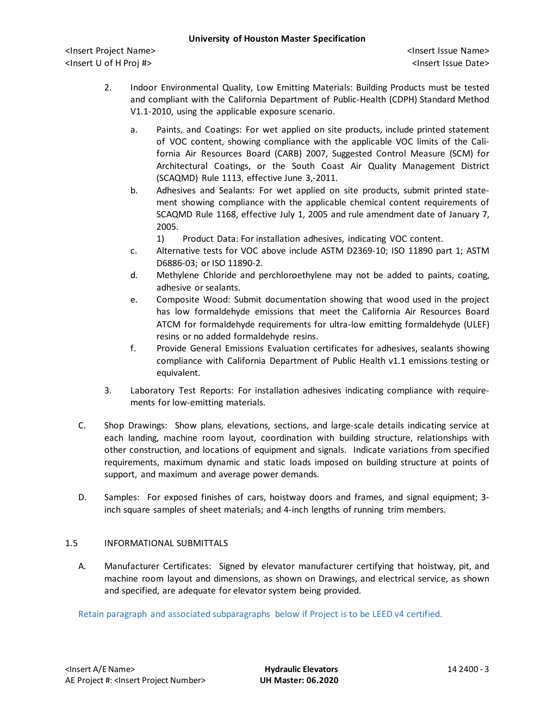- 2. Indoor Environmental Quality, Low Emitting Materials: Building Products must be tested and compliant with the California Department of Public-Health (CDPH) Standard Method V1.1-2010, using the applicable exposure scenario.
	- a. Paints, and Coatings: For wet applied on site products, include printed statement of VOC content, showing compliance with the applicable VOC limits of the California Air Resources Board (CARB) 2007, Suggested Control Measure (SCM) for Architectural Coatings, or the South Coast Air Quality Management District (SCAQMD) Rule 1113, effective June 3,-2011.
	- b. Adhesives and Sealants: For wet applied on site products, submit printed statement showing compliance with the applicable chemical content requirements of SCAQMD Rule 1168, effective July 1, 2005 and rule amendment date of January 7, 2005.
		- 1) Product Data: For installation adhesives, indicating VOC content.
	- c. Alternative tests for VOC above include ASTM D2369-10; ISO 11890 part 1; ASTM D6886-03; or ISO 11890-2.
	- d. Methylene Chloride and perchloroethylene may not be added to paints, coating, adhesive or sealants.
	- e. Composite Wood: Submit documentation showing that wood used in the project has low formaldehyde emissions that meet the California Air Resources Board ATCM for formaldehyde requirements for ultra-low emitting formaldehyde (ULEF) resins or no added formaldehyde resins.
	- f. Provide General Emissions Evaluation certificates for adhesives, sealants showing compliance with California Department of Public Health v1.1 emissions testing or equivalent.
- 3. Laboratory Test Reports: For installation adhesives indicating compliance with requirements for low-emitting materials.
- C. Shop Drawings: Show plans, elevations, sections, and large-scale details indicating service at each landing, machine room layout, coordination with building structure, relationships with other construction, and locations of equipment and signals. Indicate variations from specified requirements, maximum dynamic and static loads imposed on building structure at points of support, and maximum and average power demands.
- D. Samples: For exposed finishes of cars, hoistway doors and frames, and signal equipment; 3 inch square samples of sheet materials; and 4-inch lengths of running trim members.

## 1.5 INFORMATIONAL SUBMITTALS

A. Manufacturer Certificates: Signed by elevator manufacturer certifying that hoistway, pit, and machine room layout and dimensions, as shown on Drawings, and electrical service, as shown and specified, are adequate for elevator system being provided.

Retain paragraph and associated subparagraphs below if Project is to be LEED v4 certified.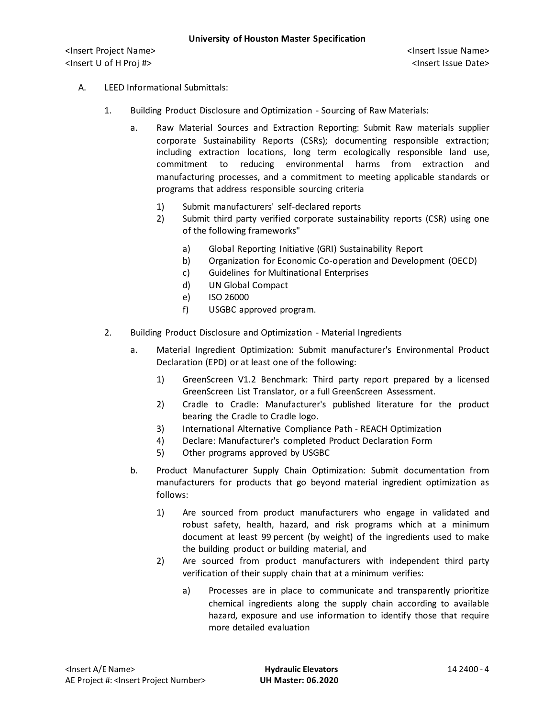# A. LEED Informational Submittals:

- 1. Building Product Disclosure and Optimization Sourcing of Raw Materials:
	- a. Raw Material Sources and Extraction Reporting: Submit Raw materials supplier corporate Sustainability Reports (CSRs); documenting responsible extraction; including extraction locations, long term ecologically responsible land use, commitment to reducing environmental harms from extraction and manufacturing processes, and a commitment to meeting applicable standards or programs that address responsible sourcing criteria
		- 1) Submit manufacturers' self-declared reports
		- 2) Submit third party verified corporate sustainability reports (CSR) using one of the following frameworks"
			- a) Global Reporting Initiative (GRI) Sustainability Report
			- b) Organization for Economic Co-operation and Development (OECD)
			- c) Guidelines for Multinational Enterprises
			- d) UN Global Compact
			- e) ISO 26000
			- f) USGBC approved program.
- 2. Building Product Disclosure and Optimization Material Ingredients
	- a. Material Ingredient Optimization: Submit manufacturer's Environmental Product Declaration (EPD) or at least one of the following:
		- 1) GreenScreen V1.2 Benchmark: Third party report prepared by a licensed GreenScreen List Translator, or a full GreenScreen Assessment.
		- 2) Cradle to Cradle: Manufacturer's published literature for the product bearing the Cradle to Cradle logo.
		- 3) International Alternative Compliance Path REACH Optimization
		- 4) Declare: Manufacturer's completed Product Declaration Form
		- 5) Other programs approved by USGBC
	- b. Product Manufacturer Supply Chain Optimization: Submit documentation from manufacturers for products that go beyond material ingredient optimization as follows:
		- 1) Are sourced from product manufacturers who engage in validated and robust safety, health, hazard, and risk programs which at a minimum document at least 99 percent (by weight) of the ingredients used to make the building product or building material, and
		- 2) Are sourced from product manufacturers with independent third party verification of their supply chain that at a minimum verifies:
			- a) Processes are in place to communicate and transparently prioritize chemical ingredients along the supply chain according to available hazard, exposure and use information to identify those that require more detailed evaluation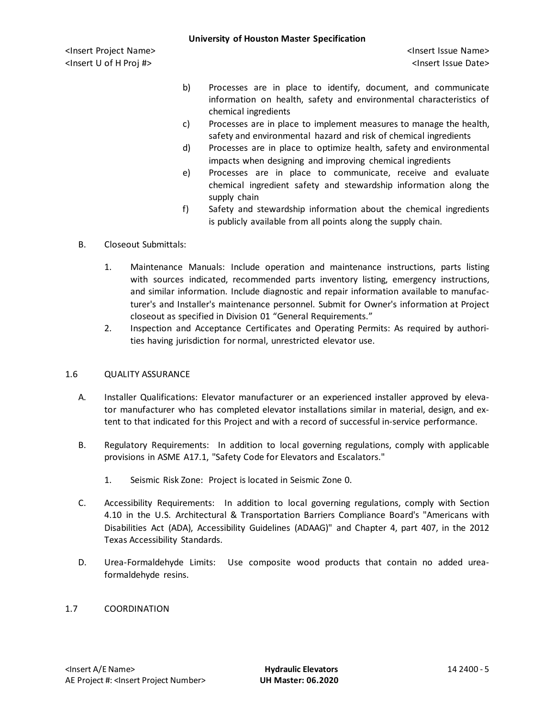- b) Processes are in place to identify, document, and communicate information on health, safety and environmental characteristics of chemical ingredients
- c) Processes are in place to implement measures to manage the health, safety and environmental hazard and risk of chemical ingredients
- d) Processes are in place to optimize health, safety and environmental impacts when designing and improving chemical ingredients
- e) Processes are in place to communicate, receive and evaluate chemical ingredient safety and stewardship information along the supply chain
- f) Safety and stewardship information about the chemical ingredients is publicly available from all points along the supply chain.

# B. Closeout Submittals:

- 1. Maintenance Manuals: Include operation and maintenance instructions, parts listing with sources indicated, recommended parts inventory listing, emergency instructions, and similar information. Include diagnostic and repair information available to manufacturer's and Installer's maintenance personnel. Submit for Owner's information at Project closeout as specified in Division 01 "General Requirements."
- 2. Inspection and Acceptance Certificates and Operating Permits: As required by authorities having jurisdiction for normal, unrestricted elevator use.

## 1.6 QUALITY ASSURANCE

- A. Installer Qualifications: Elevator manufacturer or an experienced installer approved by elevator manufacturer who has completed elevator installations similar in material, design, and extent to that indicated for this Project and with a record of successful in-service performance.
- B. Regulatory Requirements: In addition to local governing regulations, comply with applicable provisions in ASME A17.1, "Safety Code for Elevators and Escalators."
	- 1. Seismic Risk Zone: Project is located in Seismic Zone 0.
- C. Accessibility Requirements: In addition to local governing regulations, comply with Section 4.10 in the U.S. Architectural & Transportation Barriers Compliance Board's "Americans with Disabilities Act (ADA), Accessibility Guidelines (ADAAG)" and Chapter 4, part 407, in the 2012 Texas Accessibility Standards.
- D. Urea-Formaldehyde Limits: Use composite wood products that contain no added ureaformaldehyde resins.

## 1.7 COORDINATION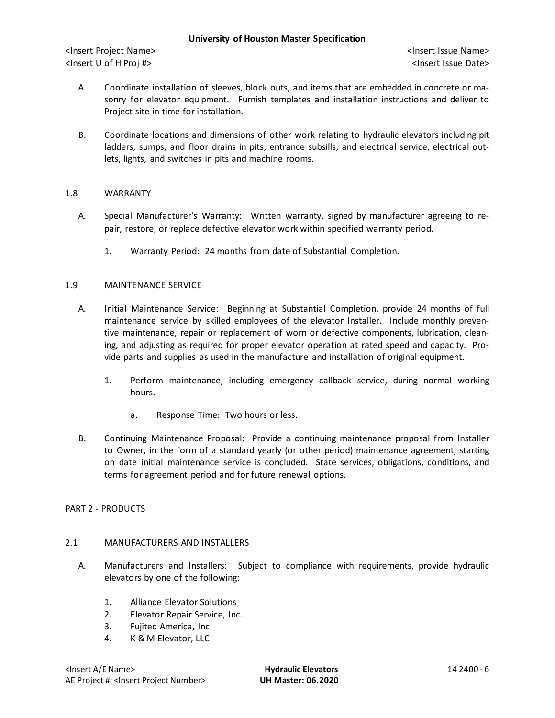- A. Coordinate installation of sleeves, block outs, and items that are embedded in concrete or masonry for elevator equipment. Furnish templates and installation instructions and deliver to Project site in time for installation.
- B. Coordinate locations and dimensions of other work relating to hydraulic elevators including pit ladders, sumps, and floor drains in pits; entrance subsills; and electrical service, electrical outlets, lights, and switches in pits and machine rooms.

## 1.8 WARRANTY

- A. Special Manufacturer's Warranty: Written warranty, signed by manufacturer agreeing to repair, restore, or replace defective elevator work within specified warranty period.
	- 1. Warranty Period: 24 months from date of Substantial Completion.

## 1.9 MAINTENANCE SERVICE

- A. Initial Maintenance Service: Beginning at Substantial Completion, provide 24 months of full maintenance service by skilled employees of the elevator Installer. Include monthly preventive maintenance, repair or replacement of worn or defective components, lubrication, cleaning, and adjusting as required for proper elevator operation at rated speed and capacity. Provide parts and supplies as used in the manufacture and installation of original equipment.
	- 1. Perform maintenance, including emergency callback service, during normal working hours.
		- a. Response Time: Two hours or less.
- B. Continuing Maintenance Proposal: Provide a continuing maintenance proposal from Installer to Owner, in the form of a standard yearly (or other period) maintenance agreement, starting on date initial maintenance service is concluded. State services, obligations, conditions, and terms for agreement period and for future renewal options.

# PART 2 - PRODUCTS

## 2.1 MANUFACTURERS AND INSTALLERS

- A. Manufacturers and Installers: Subject to compliance with requirements, provide hydraulic elevators by one of the following:
	- 1. Alliance Elevator Solutions
	- 2. Elevator Repair Service, Inc.
	- 3. Fujitec America, Inc.
	- 4. K & M Elevator, LLC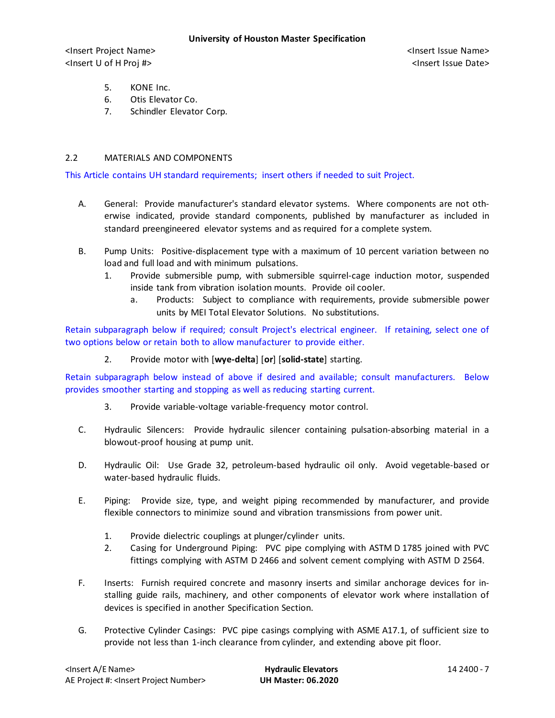- 5. KONE Inc.
- 6. Otis Elevator Co.
- 7. Schindler Elevator Corp.

# 2.2 MATERIALS AND COMPONENTS

This Article contains UH standard requirements; insert others if needed to suit Project.

- A. General: Provide manufacturer's standard elevator systems. Where components are not otherwise indicated, provide standard components, published by manufacturer as included in standard preengineered elevator systems and as required for a complete system.
- B. Pump Units: Positive-displacement type with a maximum of 10 percent variation between no load and full load and with minimum pulsations.
	- 1. Provide submersible pump, with submersible squirrel-cage induction motor, suspended inside tank from vibration isolation mounts. Provide oil cooler.
		- a. Products: Subject to compliance with requirements, provide submersible power units by MEI Total Elevator Solutions. No substitutions.

Retain subparagraph below if required; consult Project's electrical engineer. If retaining, select one of two options below or retain both to allow manufacturer to provide either.

2. Provide motor with [**wye-delta**] [**or**] [**solid-state**] starting.

Retain subparagraph below instead of above if desired and available; consult manufacturers. Below provides smoother starting and stopping as well as reducing starting current.

- 3. Provide variable-voltage variable-frequency motor control.
- C. Hydraulic Silencers: Provide hydraulic silencer containing pulsation-absorbing material in a blowout-proof housing at pump unit.
- D. Hydraulic Oil: Use Grade 32, petroleum-based hydraulic oil only. Avoid vegetable-based or water-based hydraulic fluids.
- E. Piping: Provide size, type, and weight piping recommended by manufacturer, and provide flexible connectors to minimize sound and vibration transmissions from power unit.
	- 1. Provide dielectric couplings at plunger/cylinder units.
	- 2. Casing for Underground Piping: PVC pipe complying with ASTM D 1785 joined with PVC fittings complying with ASTM D 2466 and solvent cement complying with ASTM D 2564.
- F. Inserts: Furnish required concrete and masonry inserts and similar anchorage devices for installing guide rails, machinery, and other components of elevator work where installation of devices is specified in another Specification Section.
- G. Protective Cylinder Casings: PVC pipe casings complying with ASME A17.1, of sufficient size to provide not less than 1-inch clearance from cylinder, and extending above pit floor.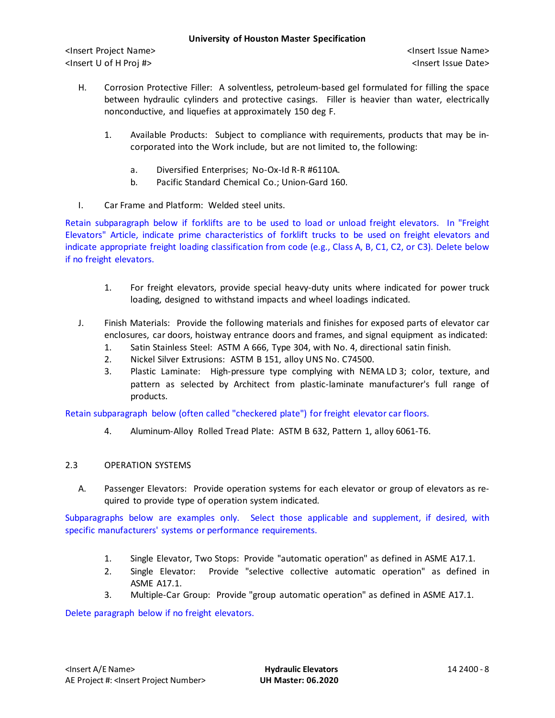- H. Corrosion Protective Filler: A solventless, petroleum-based gel formulated for filling the space between hydraulic cylinders and protective casings. Filler is heavier than water, electrically nonconductive, and liquefies at approximately 150 deg F.
	- 1. Available Products: Subject to compliance with requirements, products that may be incorporated into the Work include, but are not limited to, the following:
		- a. Diversified Enterprises; No-Ox-Id R-R #6110A.
		- b. Pacific Standard Chemical Co.; Union-Gard 160.
- I. Car Frame and Platform: Welded steel units.

Retain subparagraph below if forklifts are to be used to load or unload freight elevators. In "Freight Elevators" Article, indicate prime characteristics of forklift trucks to be used on freight elevators and indicate appropriate freight loading classification from code (e.g., Class A, B, C1, C2, or C3). Delete below if no freight elevators.

- 1. For freight elevators, provide special heavy-duty units where indicated for power truck loading, designed to withstand impacts and wheel loadings indicated.
- J. Finish Materials: Provide the following materials and finishes for exposed parts of elevator car enclosures, car doors, hoistway entrance doors and frames, and signal equipment as indicated:
	- 1. Satin Stainless Steel: ASTM A 666, Type 304, with No. 4, directional satin finish.
	- 2. Nickel Silver Extrusions: ASTM B 151, alloy UNS No. C74500.
	- 3. Plastic Laminate: High-pressure type complying with NEMA LD 3; color, texture, and pattern as selected by Architect from plastic-laminate manufacturer's full range of products.

Retain subparagraph below (often called "checkered plate") for freight elevator car floors.

4. Aluminum-Alloy Rolled Tread Plate: ASTM B 632, Pattern 1, alloy 6061-T6.

# 2.3 OPERATION SYSTEMS

A. Passenger Elevators: Provide operation systems for each elevator or group of elevators as required to provide type of operation system indicated.

Subparagraphs below are examples only. Select those applicable and supplement, if desired, with specific manufacturers' systems or performance requirements.

- 1. Single Elevator, Two Stops: Provide "automatic operation" as defined in ASME A17.1.
- 2. Single Elevator: Provide "selective collective automatic operation" as defined in ASME A17.1.
- 3. Multiple-Car Group: Provide "group automatic operation" as defined in ASME A17.1.

Delete paragraph below if no freight elevators.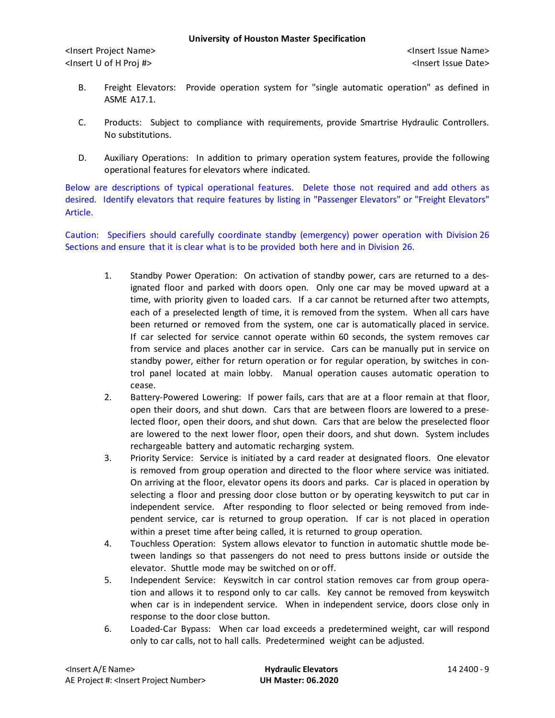- B. Freight Elevators: Provide operation system for "single automatic operation" as defined in ASME A17.1.
- C. Products: Subject to compliance with requirements, provide Smartrise Hydraulic Controllers. No substitutions.
- D. Auxiliary Operations: In addition to primary operation system features, provide the following operational features for elevators where indicated.

Below are descriptions of typical operational features. Delete those not required and add others as desired. Identify elevators that require features by listing in "Passenger Elevators" or "Freight Elevators" Article.

Caution: Specifiers should carefully coordinate standby (emergency) power operation with Division 26 Sections and ensure that it is clear what is to be provided both here and in Division 26.

- 1. Standby Power Operation: On activation of standby power, cars are returned to a designated floor and parked with doors open. Only one car may be moved upward at a time, with priority given to loaded cars. If a car cannot be returned after two attempts, each of a preselected length of time, it is removed from the system. When all cars have been returned or removed from the system, one car is automatically placed in service. If car selected for service cannot operate within 60 seconds, the system removes car from service and places another car in service. Cars can be manually put in service on standby power, either for return operation or for regular operation, by switches in control panel located at main lobby. Manual operation causes automatic operation to cease.
- 2. Battery-Powered Lowering: If power fails, cars that are at a floor remain at that floor, open their doors, and shut down. Cars that are between floors are lowered to a preselected floor, open their doors, and shut down. Cars that are below the preselected floor are lowered to the next lower floor, open their doors, and shut down. System includes rechargeable battery and automatic recharging system.
- 3. Priority Service: Service is initiated by a card reader at designated floors. One elevator is removed from group operation and directed to the floor where service was initiated. On arriving at the floor, elevator opens its doors and parks. Car is placed in operation by selecting a floor and pressing door close button or by operating keyswitch to put car in independent service. After responding to floor selected or being removed from independent service, car is returned to group operation. If car is not placed in operation within a preset time after being called, it is returned to group operation.
- 4. Touchless Operation: System allows elevator to function in automatic shuttle mode between landings so that passengers do not need to press buttons inside or outside the elevator. Shuttle mode may be switched on or off.
- 5. Independent Service: Keyswitch in car control station removes car from group operation and allows it to respond only to car calls. Key cannot be removed from keyswitch when car is in independent service. When in independent service, doors close only in response to the door close button.
- 6. Loaded-Car Bypass: When car load exceeds a predetermined weight, car will respond only to car calls, not to hall calls. Predetermined weight can be adjusted.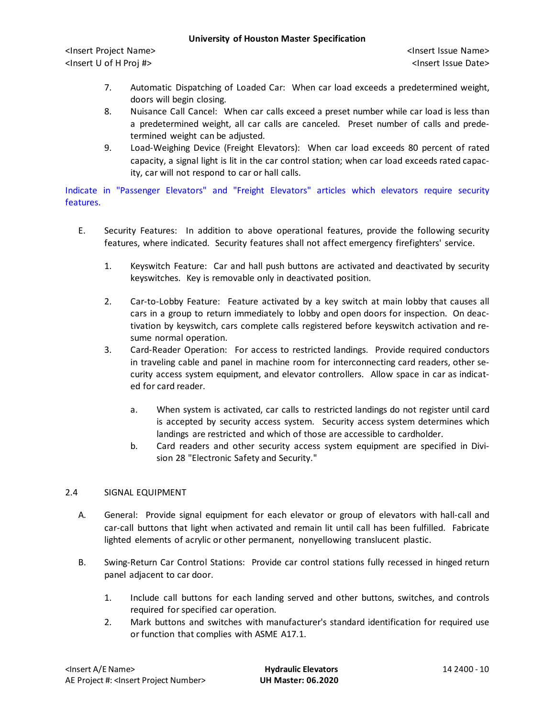<Insert Project Name> <Insert Issue Name> <Insert U of H Proj #> <Insert Issue Date>

- 7. Automatic Dispatching of Loaded Car: When car load exceeds a predetermined weight, doors will begin closing.
- 8. Nuisance Call Cancel: When car calls exceed a preset number while car load is less than a predetermined weight, all car calls are canceled. Preset number of calls and predetermined weight can be adjusted.
- 9. Load-Weighing Device (Freight Elevators): When car load exceeds 80 percent of rated capacity, a signal light is lit in the car control station; when car load exceeds rated capacity, car will not respond to car or hall calls.

Indicate in "Passenger Elevators" and "Freight Elevators" articles which elevators require security features.

- E. Security Features: In addition to above operational features, provide the following security features, where indicated. Security features shall not affect emergency firefighters' service.
	- 1. Keyswitch Feature: Car and hall push buttons are activated and deactivated by security keyswitches. Key is removable only in deactivated position.
	- 2. Car-to-Lobby Feature: Feature activated by a key switch at main lobby that causes all cars in a group to return immediately to lobby and open doors for inspection. On deactivation by keyswitch, cars complete calls registered before keyswitch activation and resume normal operation.
	- 3. Card-Reader Operation: For access to restricted landings. Provide required conductors in traveling cable and panel in machine room for interconnecting card readers, other security access system equipment, and elevator controllers. Allow space in car as indicated for card reader.
		- a. When system is activated, car calls to restricted landings do not register until card is accepted by security access system. Security access system determines which landings are restricted and which of those are accessible to cardholder.
		- b. Card readers and other security access system equipment are specified in Division 28 "Electronic Safety and Security."

## 2.4 SIGNAL EQUIPMENT

- A. General: Provide signal equipment for each elevator or group of elevators with hall-call and car-call buttons that light when activated and remain lit until call has been fulfilled. Fabricate lighted elements of acrylic or other permanent, nonyellowing translucent plastic.
- B. Swing-Return Car Control Stations: Provide car control stations fully recessed in hinged return panel adjacent to car door.
	- 1. Include call buttons for each landing served and other buttons, switches, and controls required for specified car operation.
	- 2. Mark buttons and switches with manufacturer's standard identification for required use or function that complies with ASME A17.1.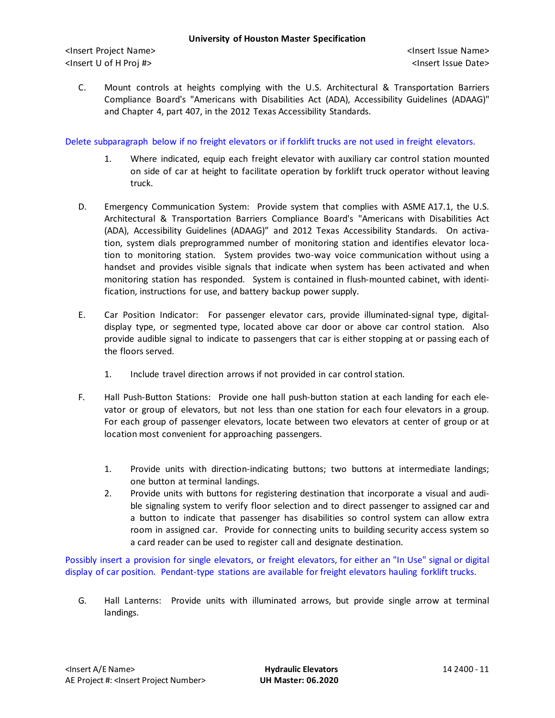C. Mount controls at heights complying with the U.S. Architectural & Transportation Barriers Compliance Board's "Americans with Disabilities Act (ADA), Accessibility Guidelines (ADAAG)" and Chapter 4, part 407, in the 2012 Texas Accessibility Standards.

Delete subparagraph below if no freight elevators or if forklift trucks are not used in freight elevators.

- 1. Where indicated, equip each freight elevator with auxiliary car control station mounted on side of car at height to facilitate operation by forklift truck operator without leaving truck.
- D. Emergency Communication System: Provide system that complies with ASME A17.1, the U.S. Architectural & Transportation Barriers Compliance Board's "Americans with Disabilities Act (ADA), Accessibility Guidelines (ADAAG)" and 2012 Texas Accessibility Standards. On activation, system dials preprogrammed number of monitoring station and identifies elevator location to monitoring station. System provides two-way voice communication without using a handset and provides visible signals that indicate when system has been activated and when monitoring station has responded. System is contained in flush-mounted cabinet, with identification, instructions for use, and battery backup power supply.
- E. Car Position Indicator: For passenger elevator cars, provide illuminated-signal type, digitaldisplay type, or segmented type, located above car door or above car control station. Also provide audible signal to indicate to passengers that car is either stopping at or passing each of the floors served.
	- 1. Include travel direction arrows if not provided in car control station.
- F. Hall Push-Button Stations: Provide one hall push-button station at each landing for each elevator or group of elevators, but not less than one station for each four elevators in a group. For each group of passenger elevators, locate between two elevators at center of group or at location most convenient for approaching passengers.
	- 1. Provide units with direction-indicating buttons; two buttons at intermediate landings; one button at terminal landings.
	- 2. Provide units with buttons for registering destination that incorporate a visual and audible signaling system to verify floor selection and to direct passenger to assigned car and a button to indicate that passenger has disabilities so control system can allow extra room in assigned car. Provide for connecting units to building security access system so a card reader can be used to register call and designate destination.

Possibly insert a provision for single elevators, or freight elevators, for either an "In Use" signal or digital display of car position. Pendant-type stations are available for freight elevators hauling forklift trucks.

G. Hall Lanterns: Provide units with illuminated arrows, but provide single arrow at terminal landings.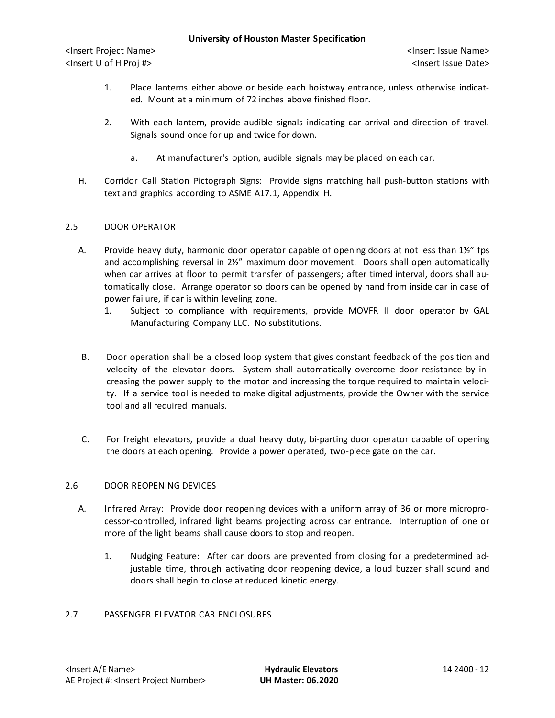- 1. Place lanterns either above or beside each hoistway entrance, unless otherwise indicated. Mount at a minimum of 72 inches above finished floor.
- 2. With each lantern, provide audible signals indicating car arrival and direction of travel. Signals sound once for up and twice for down.
	- a. At manufacturer's option, audible signals may be placed on each car.
- H. Corridor Call Station Pictograph Signs: Provide signs matching hall push-button stations with text and graphics according to ASME A17.1, Appendix H.

# 2.5 DOOR OPERATOR

- A. Provide heavy duty, harmonic door operator capable of opening doors at not less than 1½" fps and accomplishing reversal in 2½" maximum door movement. Doors shall open automatically when car arrives at floor to permit transfer of passengers; after timed interval, doors shall automatically close. Arrange operator so doors can be opened by hand from inside car in case of power failure, if car is within leveling zone.
	- 1. Subject to compliance with requirements, provide MOVFR II door operator by GAL Manufacturing Company LLC. No substitutions.
- B. Door operation shall be a closed loop system that gives constant feedback of the position and velocity of the elevator doors. System shall automatically overcome door resistance by increasing the power supply to the motor and increasing the torque required to maintain velocity. If a service tool is needed to make digital adjustments, provide the Owner with the service tool and all required manuals.
- C. For freight elevators, provide a dual heavy duty, bi-parting door operator capable of opening the doors at each opening. Provide a power operated, two-piece gate on the car.

# 2.6 DOOR REOPENING DEVICES

- A. Infrared Array: Provide door reopening devices with a uniform array of 36 or more microprocessor-controlled, infrared light beams projecting across car entrance. Interruption of one or more of the light beams shall cause doors to stop and reopen.
	- 1. Nudging Feature: After car doors are prevented from closing for a predetermined adjustable time, through activating door reopening device, a loud buzzer shall sound and doors shall begin to close at reduced kinetic energy.

## 2.7 PASSENGER ELEVATOR CAR ENCLOSURES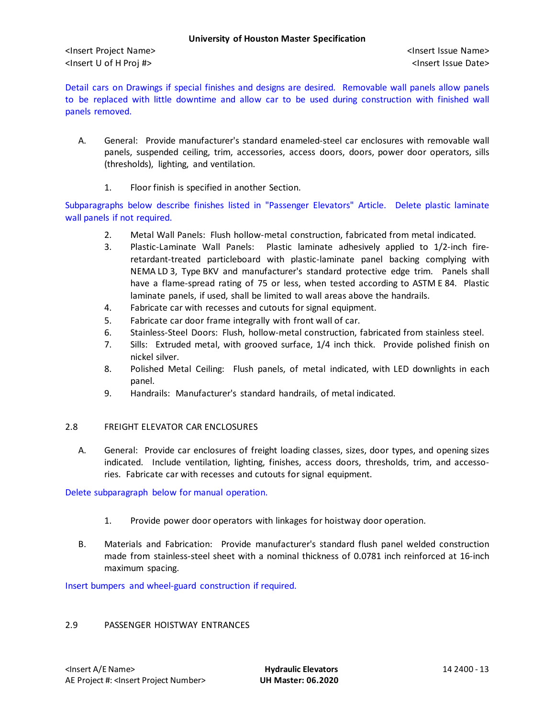Detail cars on Drawings if special finishes and designs are desired. Removable wall panels allow panels to be replaced with little downtime and allow car to be used during construction with finished wall panels removed.

- A. General: Provide manufacturer's standard enameled-steel car enclosures with removable wall panels, suspended ceiling, trim, accessories, access doors, doors, power door operators, sills (thresholds), lighting, and ventilation.
	- 1. Floor finish is specified in another Section.

Subparagraphs below describe finishes listed in "Passenger Elevators" Article. Delete plastic laminate wall panels if not required.

- 2. Metal Wall Panels: Flush hollow-metal construction, fabricated from metal indicated.
- 3. Plastic-Laminate Wall Panels: Plastic laminate adhesively applied to 1/2-inch fireretardant-treated particleboard with plastic-laminate panel backing complying with NEMA LD 3, Type BKV and manufacturer's standard protective edge trim. Panels shall have a flame-spread rating of 75 or less, when tested according to ASTM E 84. Plastic laminate panels, if used, shall be limited to wall areas above the handrails.
- 4. Fabricate car with recesses and cutouts for signal equipment.
- 5. Fabricate car door frame integrally with front wall of car.
- 6. Stainless-Steel Doors: Flush, hollow-metal construction, fabricated from stainless steel.
- 7. Sills: Extruded metal, with grooved surface, 1/4 inch thick. Provide polished finish on nickel silver.
- 8. Polished Metal Ceiling: Flush panels, of metal indicated, with LED downlights in each panel.
- 9. Handrails: Manufacturer's standard handrails, of metal indicated.

## 2.8 FREIGHT ELEVATOR CAR ENCLOSURES

A. General: Provide car enclosures of freight loading classes, sizes, door types, and opening sizes indicated. Include ventilation, lighting, finishes, access doors, thresholds, trim, and accessories. Fabricate car with recesses and cutouts for signal equipment.

Delete subparagraph below for manual operation.

- 1. Provide power door operators with linkages for hoistway door operation.
- B. Materials and Fabrication: Provide manufacturer's standard flush panel welded construction made from stainless-steel sheet with a nominal thickness of 0.0781 inch reinforced at 16-inch maximum spacing.

Insert bumpers and wheel-guard construction if required.

#### 2.9 PASSENGER HOISTWAY ENTRANCES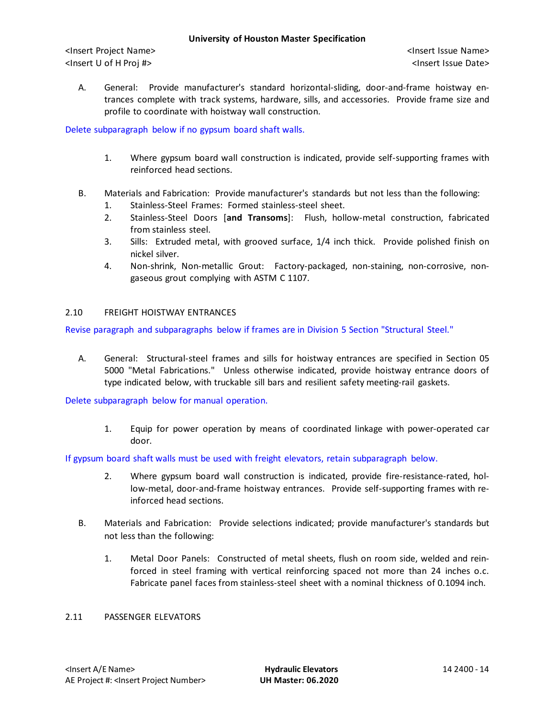<Insert Project Name> <Insert Issue Name> <Insert U of H Proj #> <Insert Issue Date>

A. General: Provide manufacturer's standard horizontal-sliding, door-and-frame hoistway entrances complete with track systems, hardware, sills, and accessories. Provide frame size and profile to coordinate with hoistway wall construction.

Delete subparagraph below if no gypsum board shaft walls.

- 1. Where gypsum board wall construction is indicated, provide self-supporting frames with reinforced head sections.
- B. Materials and Fabrication: Provide manufacturer's standards but not less than the following:
	- 1. Stainless-Steel Frames: Formed stainless-steel sheet.
	- 2. Stainless-Steel Doors [**and Transoms**]: Flush, hollow-metal construction, fabricated from stainless steel.
	- 3. Sills: Extruded metal, with grooved surface, 1/4 inch thick. Provide polished finish on nickel silver.
	- 4. Non-shrink, Non-metallic Grout: Factory-packaged, non-staining, non-corrosive, nongaseous grout complying with ASTM C 1107.

## 2.10 FREIGHT HOISTWAY ENTRANCES

Revise paragraph and subparagraphs below if frames are in Division 5 Section "Structural Steel."

A. General: Structural-steel frames and sills for hoistway entrances are specified in Section 05 5000 "Metal Fabrications." Unless otherwise indicated, provide hoistway entrance doors of type indicated below, with truckable sill bars and resilient safety meeting-rail gaskets.

Delete subparagraph below for manual operation.

1. Equip for power operation by means of coordinated linkage with power-operated car door.

If gypsum board shaft walls must be used with freight elevators, retain subparagraph below.

- 2. Where gypsum board wall construction is indicated, provide fire-resistance-rated, hollow-metal, door-and-frame hoistway entrances. Provide self-supporting frames with reinforced head sections.
- B. Materials and Fabrication: Provide selections indicated; provide manufacturer's standards but not less than the following:
	- 1. Metal Door Panels: Constructed of metal sheets, flush on room side, welded and reinforced in steel framing with vertical reinforcing spaced not more than 24 inches o.c. Fabricate panel faces from stainless-steel sheet with a nominal thickness of 0.1094 inch.

# 2.11 PASSENGER ELEVATORS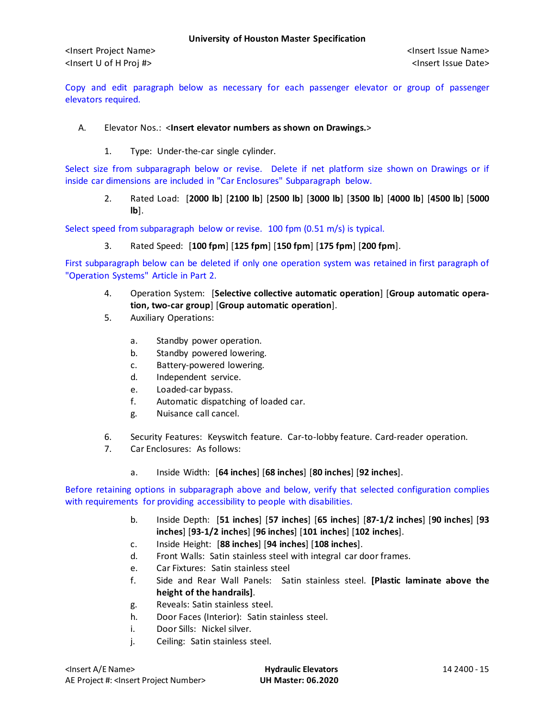Copy and edit paragraph below as necessary for each passenger elevator or group of passenger elevators required.

# A. Elevator Nos.: <**Insert elevator numbers as shown on Drawings.**>

1. Type: Under-the-car single cylinder.

Select size from subparagraph below or revise. Delete if net platform size shown on Drawings or if inside car dimensions are included in "Car Enclosures" Subparagraph below.

2. Rated Load: [**2000 lb**] [**2100 lb**] [**2500 lb**] [**3000 lb**] [**3500 lb**] [**4000 lb**] [**4500 lb**] [**5000 lb**].

Select speed from subparagraph below or revise. 100 fpm (0.51 m/s) is typical.

3. Rated Speed: [**100 fpm**] [**125 fpm**] [**150 fpm**] [**175 fpm**] [**200 fpm**].

First subparagraph below can be deleted if only one operation system was retained in first paragraph of "Operation Systems" Article in Part 2.

- 4. Operation System: [**Selective collective automatic operation**] [**Group automatic operation, two-car group**] [**Group automatic operation**].
- 5. Auxiliary Operations:
	- a. Standby power operation.
	- b. Standby powered lowering.
	- c. Battery-powered lowering.
	- d. Independent service.
	- e. Loaded-car bypass.
	- f. Automatic dispatching of loaded car.
	- g. Nuisance call cancel.
- 6. Security Features: Keyswitch feature. Car-to-lobby feature. Card-reader operation.
- 7. Car Enclosures: As follows:
	- a. Inside Width: [**64 inches**] [**68 inches**] [**80 inches**] [**92 inches**].

Before retaining options in subparagraph above and below, verify that selected configuration complies with requirements for providing accessibility to people with disabilities.

- b. Inside Depth: [**51 inches**] [**57 inches**] [**65 inches**] [**87-1/2 inches**] [**90 inches**] [**93 inches**] [**93-1/2 inches**] [**96 inches**] [**101 inches**] [**102 inches**].
- c. Inside Height: [**88 inches**] [**94 inches**] [**108 inches**].
- d. Front Walls: Satin stainless steel with integral car door frames.
- e. Car Fixtures: Satin stainless steel
- f. Side and Rear Wall Panels: Satin stainless steel. **[Plastic laminate above the height of the handrails]**.
- g. Reveals: Satin stainless steel.
- h. Door Faces (Interior): Satin stainless steel.
- i. Door Sills: Nickel silver.
- j. Ceiling: Satin stainless steel.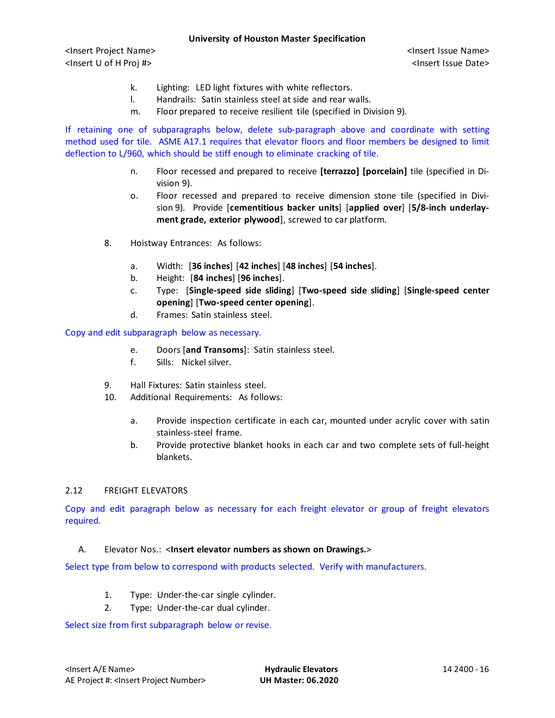<Insert Project Name> <Insert Issue Name> <Insert U of H Proj #> <Insert Issue Date>

- k. Lighting: LED light fixtures with white reflectors.
- l. Handrails: Satin stainless steel at side and rear walls.
- m. Floor prepared to receive resilient tile (specified in Division 9).

If retaining one of subparagraphs below, delete sub-paragraph above and coordinate with setting method used for tile. ASME A17.1 requires that elevator floors and floor members be designed to limit deflection to L/960, which should be stiff enough to eliminate cracking of tile.

- n. Floor recessed and prepared to receive **[terrazzo] [porcelain]** tile (specified in Division 9).
- o. Floor recessed and prepared to receive dimension stone tile (specified in Division 9). Provide [**cementitious backer units**] [**applied over**] [**5/8-inch underlayment grade, exterior plywood**], screwed to car platform.
- 8. Hoistway Entrances: As follows:
	- a. Width: [**36 inches**] [**42 inches**] [**48 inches**] [**54 inches**].
	- b. Height: [**84 inches**] [**96 inches**].
	- c. Type: [**Single-speed side sliding**] [**Two-speed side sliding**] [**Single-speed center opening**] [**Two-speed center opening**].
	- d. Frames: Satin stainless steel.

#### Copy and edit subparagraph below as necessary.

- e. Doors [**and Transoms**]: Satin stainless steel.
- f. Sills: Nickel silver.
- 9. Hall Fixtures: Satin stainless steel.
- 10. Additional Requirements: As follows:
	- a. Provide inspection certificate in each car, mounted under acrylic cover with satin stainless-steel frame.
	- b. Provide protective blanket hooks in each car and two complete sets of full-height blankets.

## 2.12 FREIGHT ELEVATORS

Copy and edit paragraph below as necessary for each freight elevator or group of freight elevators required.

#### A. Elevator Nos.: <**Insert elevator numbers as shown on Drawings.**>

Select type from below to correspond with products selected. Verify with manufacturers.

- 1. Type: Under-the-car single cylinder.
- 2. Type: Under-the-car dual cylinder.

#### Select size from first subparagraph below or revise.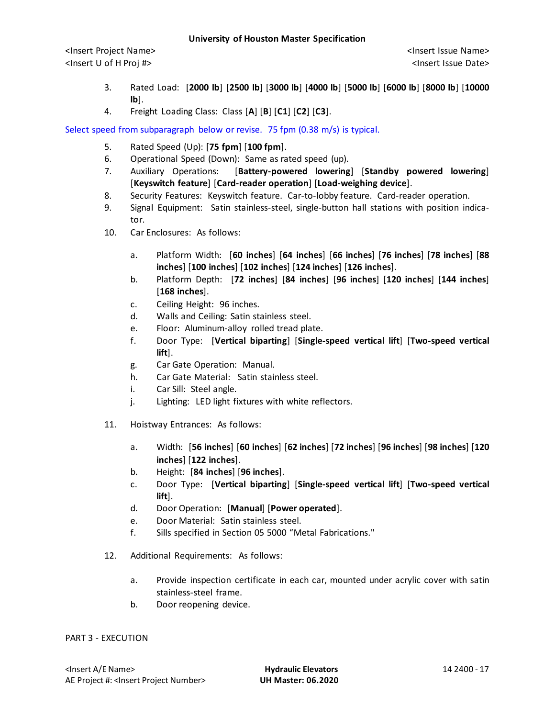- 3. Rated Load: [**2000 lb**] [**2500 lb**] [**3000 lb**] [**4000 lb**] [**5000 lb**] [**6000 lb**] [**8000 lb**] [**10000 lb**].
- 4. Freight Loading Class: Class [**A**] [**B**] [**C1**] [**C2**] [**C3**].

Select speed from subparagraph below or revise. 75 fpm (0.38 m/s) is typical.

- 5. Rated Speed (Up): [**75 fpm**] [**100 fpm**].
- 6. Operational Speed (Down): Same as rated speed (up).
- 7. Auxiliary Operations: [**Battery-powered lowering**] [**Standby powered lowering**] [**Keyswitch feature**] [**Card-reader operation**] [**Load-weighing device**].
- 8. Security Features: Keyswitch feature. Car-to-lobby feature. Card-reader operation.
- 9. Signal Equipment: Satin stainless-steel, single-button hall stations with position indicator.
- 10. Car Enclosures: As follows:
	- a. Platform Width: [**60 inches**] [**64 inches**] [**66 inches**] [**76 inches**] [**78 inches**] [**88 inches**] [**100 inches**] [**102 inches**] [**124 inches**] [**126 inches**].
	- b. Platform Depth: [**72 inches**] [**84 inches**] [**96 inches**] [**120 inches**] [**144 inches**] [**168 inches**].
	- c. Ceiling Height: 96 inches.
	- d. Walls and Ceiling: Satin stainless steel.
	- e. Floor: Aluminum-alloy rolled tread plate.
	- f. Door Type: [**Vertical biparting**] [**Single-speed vertical lift**] [**Two-speed vertical lift**].
	- g. Car Gate Operation: Manual.
	- h. Car Gate Material: Satin stainless steel.
	- i. Car Sill: Steel angle.
	- j. Lighting: LED light fixtures with white reflectors.
- 11. Hoistway Entrances: As follows:
	- a. Width: [**56 inches**] [**60 inches**] [**62 inches**] [**72 inches**] [**96 inches**] [**98 inches**] [**120 inches**] [**122 inches**].
	- b. Height: [**84 inches**] [**96 inches**].
	- c. Door Type: [**Vertical biparting**] [**Single-speed vertical lift**] [**Two-speed vertical lift**].
	- d. Door Operation: [**Manual**] [**Power operated**].
	- e. Door Material: Satin stainless steel.
	- f. Sills specified in Section 05 5000 "Metal Fabrications."
- 12. Additional Requirements: As follows:
	- a. Provide inspection certificate in each car, mounted under acrylic cover with satin stainless-steel frame.
	- b. Door reopening device.

## PART 3 - EXECUTION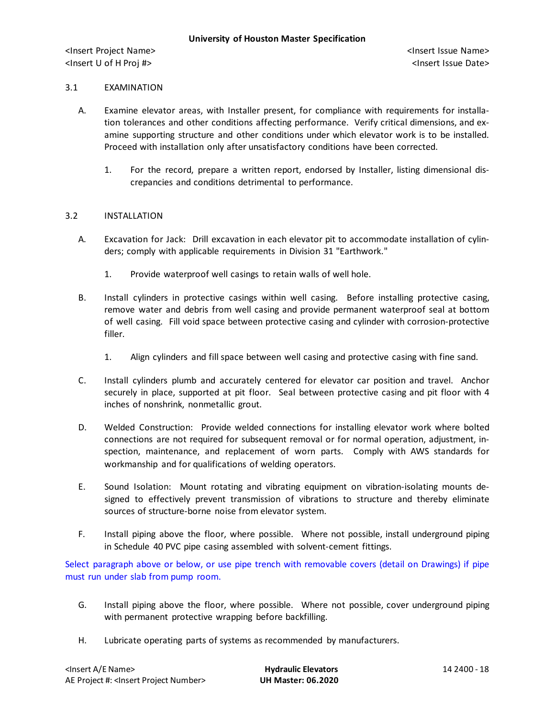#### 3.1 EXAMINATION

- A. Examine elevator areas, with Installer present, for compliance with requirements for installation tolerances and other conditions affecting performance. Verify critical dimensions, and examine supporting structure and other conditions under which elevator work is to be installed. Proceed with installation only after unsatisfactory conditions have been corrected.
	- 1. For the record, prepare a written report, endorsed by Installer, listing dimensional discrepancies and conditions detrimental to performance.

#### 3.2 INSTALLATION

- A. Excavation for Jack: Drill excavation in each elevator pit to accommodate installation of cylinders; comply with applicable requirements in Division 31 "Earthwork."
	- 1. Provide waterproof well casings to retain walls of well hole.
- B. Install cylinders in protective casings within well casing. Before installing protective casing, remove water and debris from well casing and provide permanent waterproof seal at bottom of well casing. Fill void space between protective casing and cylinder with corrosion-protective filler.
	- 1. Align cylinders and fill space between well casing and protective casing with fine sand.
- C. Install cylinders plumb and accurately centered for elevator car position and travel. Anchor securely in place, supported at pit floor. Seal between protective casing and pit floor with 4 inches of nonshrink, nonmetallic grout.
- D. Welded Construction: Provide welded connections for installing elevator work where bolted connections are not required for subsequent removal or for normal operation, adjustment, inspection, maintenance, and replacement of worn parts. Comply with AWS standards for workmanship and for qualifications of welding operators.
- E. Sound Isolation: Mount rotating and vibrating equipment on vibration-isolating mounts designed to effectively prevent transmission of vibrations to structure and thereby eliminate sources of structure-borne noise from elevator system.
- F. Install piping above the floor, where possible. Where not possible, install underground piping in Schedule 40 PVC pipe casing assembled with solvent-cement fittings.

Select paragraph above or below, or use pipe trench with removable covers (detail on Drawings) if pipe must run under slab from pump room.

- G. Install piping above the floor, where possible. Where not possible, cover underground piping with permanent protective wrapping before backfilling.
- H. Lubricate operating parts of systems as recommended by manufacturers.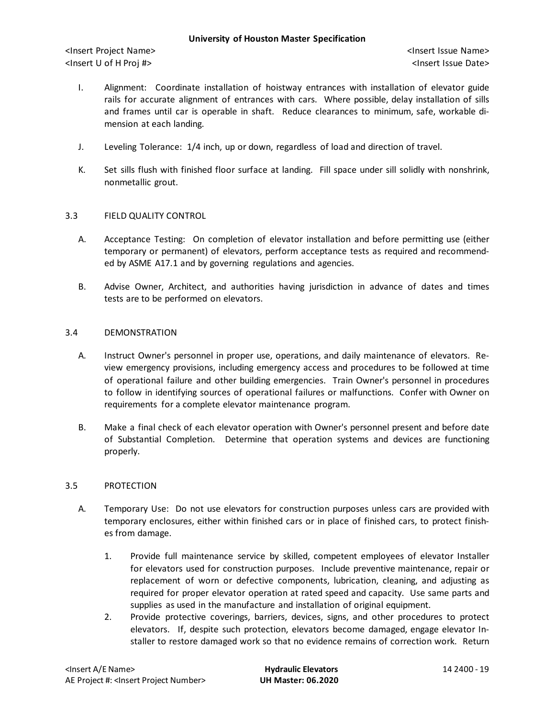<Insert Project Name> <Insert Issue Name> <Insert U of H Proj #> <Insert Issue Date>

- I. Alignment: Coordinate installation of hoistway entrances with installation of elevator guide rails for accurate alignment of entrances with cars. Where possible, delay installation of sills and frames until car is operable in shaft. Reduce clearances to minimum, safe, workable dimension at each landing.
- J. Leveling Tolerance: 1/4 inch, up or down, regardless of load and direction of travel.
- K. Set sills flush with finished floor surface at landing. Fill space under sill solidly with nonshrink, nonmetallic grout.

## 3.3 FIELD QUALITY CONTROL

- A. Acceptance Testing: On completion of elevator installation and before permitting use (either temporary or permanent) of elevators, perform acceptance tests as required and recommended by ASME A17.1 and by governing regulations and agencies.
- B. Advise Owner, Architect, and authorities having jurisdiction in advance of dates and times tests are to be performed on elevators.

#### 3.4 DEMONSTRATION

- A. Instruct Owner's personnel in proper use, operations, and daily maintenance of elevators. Review emergency provisions, including emergency access and procedures to be followed at time of operational failure and other building emergencies. Train Owner's personnel in procedures to follow in identifying sources of operational failures or malfunctions. Confer with Owner on requirements for a complete elevator maintenance program.
- B. Make a final check of each elevator operation with Owner's personnel present and before date of Substantial Completion. Determine that operation systems and devices are functioning properly.

## 3.5 PROTECTION

- A. Temporary Use: Do not use elevators for construction purposes unless cars are provided with temporary enclosures, either within finished cars or in place of finished cars, to protect finishes from damage.
	- 1. Provide full maintenance service by skilled, competent employees of elevator Installer for elevators used for construction purposes. Include preventive maintenance, repair or replacement of worn or defective components, lubrication, cleaning, and adjusting as required for proper elevator operation at rated speed and capacity. Use same parts and supplies as used in the manufacture and installation of original equipment.
	- 2. Provide protective coverings, barriers, devices, signs, and other procedures to protect elevators. If, despite such protection, elevators become damaged, engage elevator Installer to restore damaged work so that no evidence remains of correction work. Return